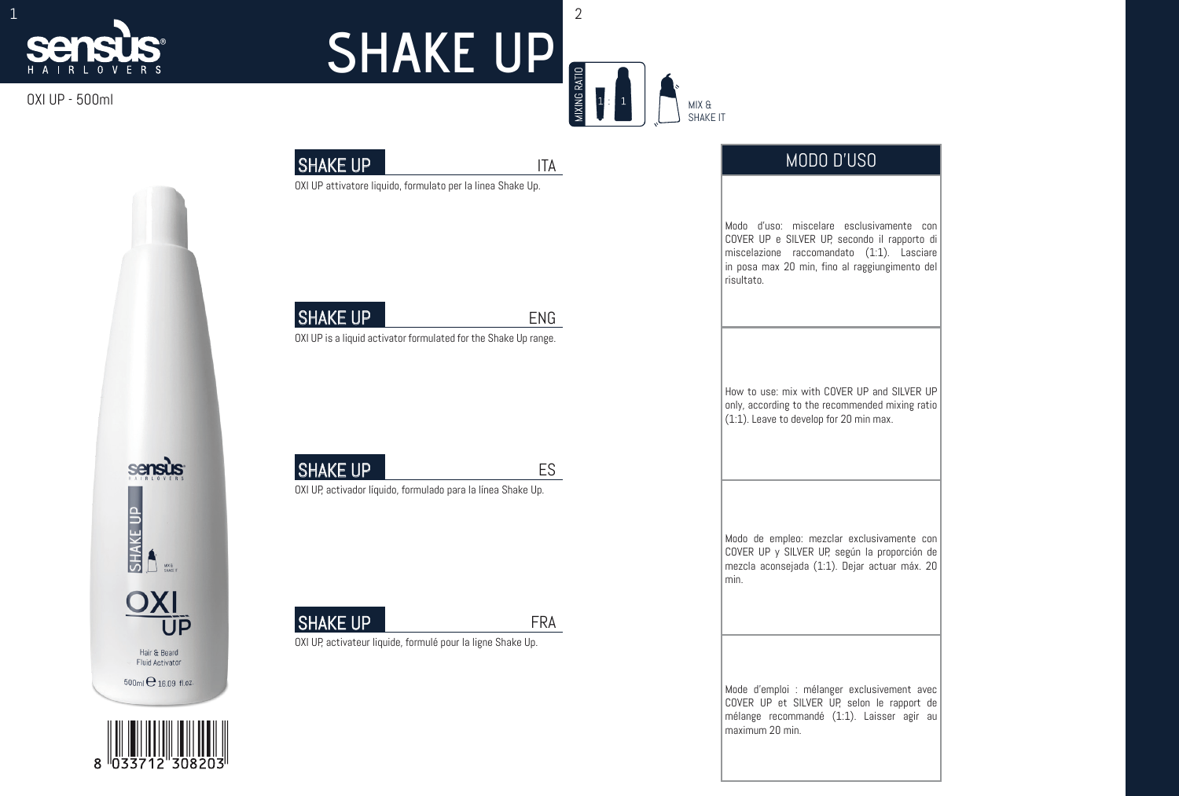# $\frac{1}{2}$

#### OXI UP - 500ml







**SHAKE UP** 

OXI UP is a liquid activator formulated for the Shake Up range.

## **SHAKE UP**

OXI UP, activador líquido, formulado para la línea Shake Up.

**SHAKE UP** 

OXI UP, activateur liquide, formulé pour la ligne Shake Up.

MODO D'U

How to use: mix with COVER UP and SILVER UP only, according to the recommended mixing ratio  $(1:1)$ . Leave to develop for 20 min max.

ES

ENG



## **SHAKE UP**

SHAKE UP ITA



MIXING RATIO

Modo d'uso: miscelare esclusivamente con COVER UP e SILVER UP, secondo il rapporto di miscelazione raccomandato (1:1). Lasciare in posa max 20 min, fino al raggiungimento del risultato.

Modo de empleo: mezclar exclusivamente con COVER UP y SILVER UP, según la proporción de mezcla aconsejada (1:1). Dejar actuar máx. 20 min.

Mode d'emploi : mélanger exclusivement avec COVER UP et SILVER UP, selon le rapport de mélange recommandé (1:1). Laisser agir au maximum 20 min.

MIX & SHAKE IT